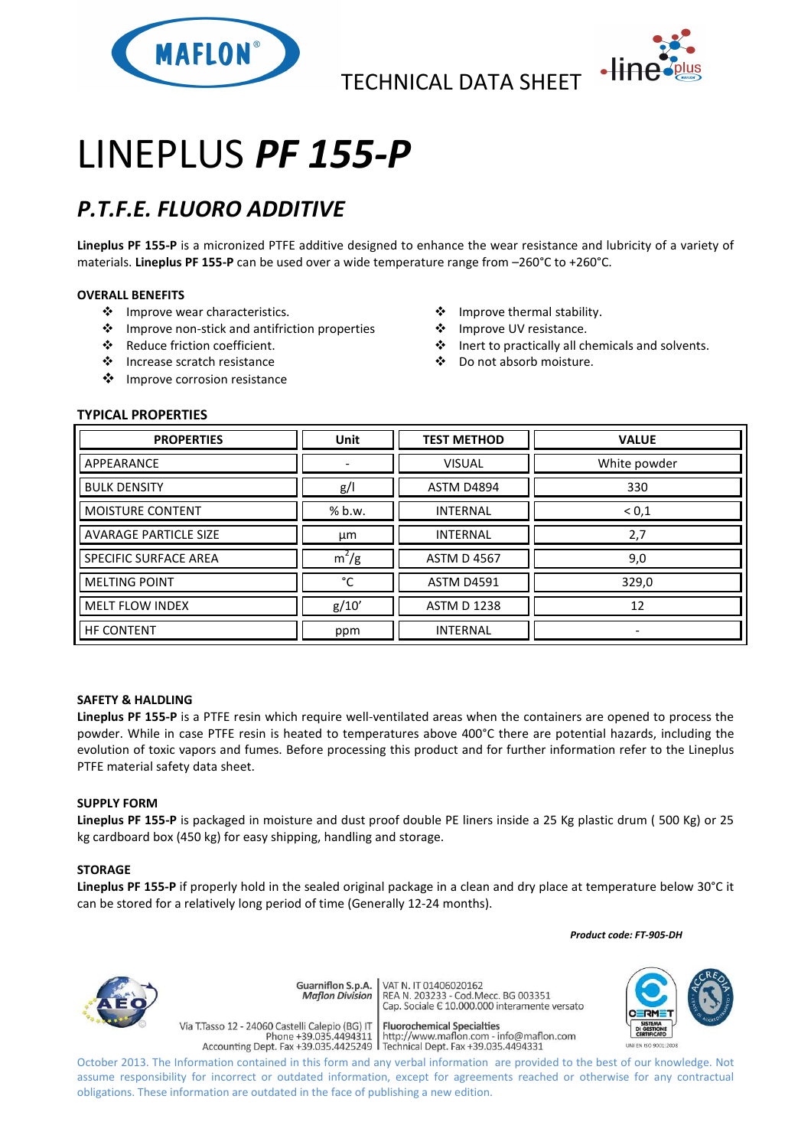

TECHNICAL DATA SHEET



# LINEPLUS *PF 155-P*

## *P.T.F.E. FLUORO ADDITIVE*

**Lineplus PF 155-P** is a micronized PTFE additive designed to enhance the wear resistance and lubricity of a variety of materials. **Lineplus PF 155-P** can be used over a wide temperature range from –260°C to +260°C.

#### **OVERALL BENEFITS**

- ❖ Improve wear characteristics.
- Improve non-stick and antifriction properties
- Reduce friction coefficient.
- Increase scratch resistance
- ❖ Improve corrosion resistance
- Improve thermal stability.
- ❖ Improve UV resistance.
- Inert to practically all chemicals and solvents.
- Do not absorb moisture.

### **TYPICAL PROPERTIES**

| <b>PROPERTIES</b>            | <b>Unit</b> | <b>TEST METHOD</b> | <b>VALUE</b>             |
|------------------------------|-------------|--------------------|--------------------------|
| APPEARANCE                   |             | <b>VISUAL</b>      | White powder             |
| <b>BULK DENSITY</b>          | g/          | <b>ASTM D4894</b>  | 330                      |
| <b>MOISTURE CONTENT</b>      | % b.w.      | <b>INTERNAL</b>    | < 0, 1                   |
| <b>AVARAGE PARTICLE SIZE</b> | μm          | <b>INTERNAL</b>    | 2,7                      |
| <b>SPECIFIC SURFACE AREA</b> | $m^2/g$     | <b>ASTM D 4567</b> | 9,0                      |
| <b>MELTING POINT</b>         | °C          | <b>ASTM D4591</b>  | 329,0                    |
| <b>MELT FLOW INDEX</b>       | g/10'       | <b>ASTM D 1238</b> | 12                       |
| <b>HF CONTENT</b>            | ppm         | <b>INTERNAL</b>    | $\overline{\phantom{0}}$ |

#### **SAFETY & HALDLING**

**Lineplus PF 155-P** is a PTFE resin which require well-ventilated areas when the containers are opened to process the powder. While in case PTFE resin is heated to temperatures above 400°C there are potential hazards, including the evolution of toxic vapors and fumes. Before processing this product and for further information refer to the Lineplus PTFE material safety data sheet.

#### **SUPPLY FORM**

**Lineplus PF 155-P** is packaged in moisture and dust proof double PE liners inside a 25 Kg plastic drum ( 500 Kg) or 25 kg cardboard box (450 kg) for easy shipping, handling and storage.

#### **STORAGE**

**Lineplus PF 155-P** if properly hold in the sealed original package in a clean and dry place at temperature below 30°C it can be stored for a relatively long period of time (Generally 12-24 months).

 *Product code: FT-905-DH*



Guarniflon S.p.A. **Maflon Division** 

Via T.Tasso 12 - 24060 Castelli Calepio (BG) IT

VAT N. IT 01406020162 REA N. 11 01400020102<br>REA N. 203233 - Cod.Mecc. BG 003351<br>Cap. Sociale E 10.000.000 interamente versato

**Fluorochemical Specialties** rideso 12 - 24060 Castelli Calepio (BG) if<br>Phone +39.035.4494311 http://www.maflon.com - info@maflon.com<br>Accounting Dept. Fax +39.035.4425249 Technical Dept. Fax +39.035.4494331



October 2013. The Information contained in this form and any verbal information are provided to the best of our knowledge. Not assume responsibility for incorrect or outdated information, except for agreements reached or otherwise for any contractual obligations. These information are outdated in the face of publishing a new edition.